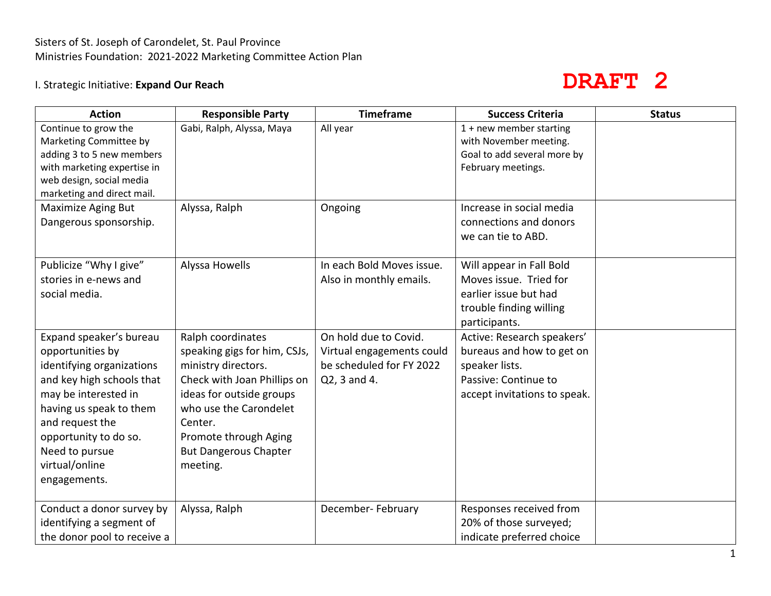# Sisters of St. Joseph of Carondelet, St. Paul Province Ministries Foundation: 2021-2022 Marketing Committee Action Plan

# I. Strategic Initiative: **Expand Our Reach**

# **DRAFT 2**

| <b>Action</b>               | <b>Responsible Party</b>     | <b>Timeframe</b>          | <b>Success Criteria</b>      | <b>Status</b> |
|-----------------------------|------------------------------|---------------------------|------------------------------|---------------|
| Continue to grow the        | Gabi, Ralph, Alyssa, Maya    | All year                  | $1 + new member starting$    |               |
| Marketing Committee by      |                              |                           | with November meeting.       |               |
| adding 3 to 5 new members   |                              |                           | Goal to add several more by  |               |
| with marketing expertise in |                              |                           | February meetings.           |               |
| web design, social media    |                              |                           |                              |               |
| marketing and direct mail.  |                              |                           |                              |               |
| <b>Maximize Aging But</b>   | Alyssa, Ralph                | Ongoing                   | Increase in social media     |               |
| Dangerous sponsorship.      |                              |                           | connections and donors       |               |
|                             |                              |                           | we can tie to ABD.           |               |
|                             |                              |                           |                              |               |
| Publicize "Why I give"      | Alyssa Howells               | In each Bold Moves issue. | Will appear in Fall Bold     |               |
| stories in e-news and       |                              | Also in monthly emails.   | Moves issue. Tried for       |               |
| social media.               |                              |                           | earlier issue but had        |               |
|                             |                              |                           | trouble finding willing      |               |
|                             |                              |                           | participants.                |               |
| Expand speaker's bureau     | Ralph coordinates            | On hold due to Covid.     | Active: Research speakers'   |               |
| opportunities by            | speaking gigs for him, CSJs, | Virtual engagements could | bureaus and how to get on    |               |
| identifying organizations   | ministry directors.          | be scheduled for FY 2022  | speaker lists.               |               |
| and key high schools that   | Check with Joan Phillips on  | Q2, 3 and 4.              | Passive: Continue to         |               |
| may be interested in        | ideas for outside groups     |                           | accept invitations to speak. |               |
| having us speak to them     | who use the Carondelet       |                           |                              |               |
| and request the             | Center.                      |                           |                              |               |
| opportunity to do so.       | Promote through Aging        |                           |                              |               |
| Need to pursue              | <b>But Dangerous Chapter</b> |                           |                              |               |
| virtual/online              | meeting.                     |                           |                              |               |
| engagements.                |                              |                           |                              |               |
|                             |                              |                           |                              |               |
| Conduct a donor survey by   | Alyssa, Ralph                | December- February        | Responses received from      |               |
| identifying a segment of    |                              |                           | 20% of those surveyed;       |               |
| the donor pool to receive a |                              |                           | indicate preferred choice    |               |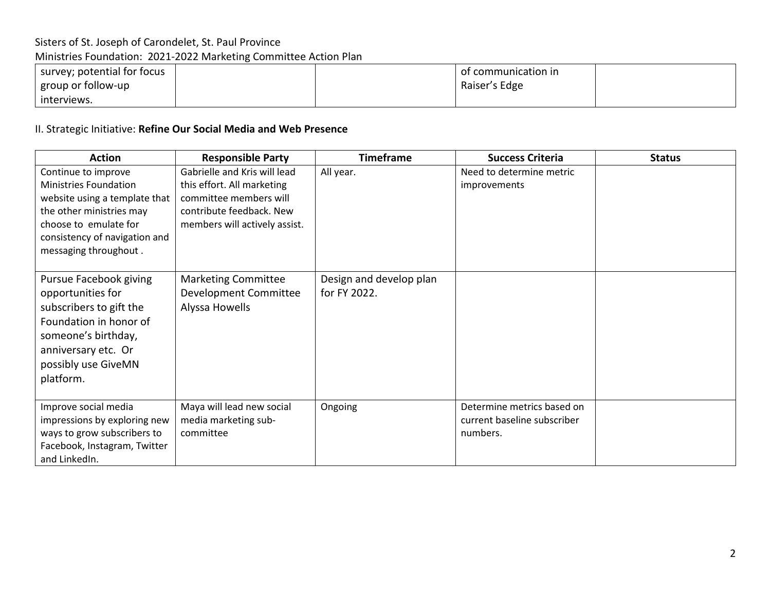## Sisters of St. Joseph of Carondelet, St. Paul Province

Ministries Foundation: 2021-2022 Marketing Committee Action Plan

| survey; potential for focus |  | of communication in |  |
|-----------------------------|--|---------------------|--|
| group or follow-up          |  | Raiser's Edge       |  |
| interviews.                 |  |                     |  |

### II. Strategic Initiative: **Refine Our Social Media and Web Presence**

| <b>Action</b>                 | <b>Responsible Party</b>      | <b>Timeframe</b>        | <b>Success Criteria</b>     | <b>Status</b> |
|-------------------------------|-------------------------------|-------------------------|-----------------------------|---------------|
| Continue to improve           | Gabrielle and Kris will lead  | All year.               | Need to determine metric    |               |
| <b>Ministries Foundation</b>  | this effort. All marketing    |                         | improvements                |               |
| website using a template that | committee members will        |                         |                             |               |
| the other ministries may      | contribute feedback. New      |                         |                             |               |
| choose to emulate for         | members will actively assist. |                         |                             |               |
| consistency of navigation and |                               |                         |                             |               |
| messaging throughout.         |                               |                         |                             |               |
|                               |                               |                         |                             |               |
| Pursue Facebook giving        | <b>Marketing Committee</b>    | Design and develop plan |                             |               |
| opportunities for             | Development Committee         | for FY 2022.            |                             |               |
| subscribers to gift the       | Alyssa Howells                |                         |                             |               |
| Foundation in honor of        |                               |                         |                             |               |
| someone's birthday,           |                               |                         |                             |               |
|                               |                               |                         |                             |               |
| anniversary etc. Or           |                               |                         |                             |               |
| possibly use GiveMN           |                               |                         |                             |               |
| platform.                     |                               |                         |                             |               |
|                               |                               |                         |                             |               |
| Improve social media          | Maya will lead new social     | Ongoing                 | Determine metrics based on  |               |
| impressions by exploring new  | media marketing sub-          |                         | current baseline subscriber |               |
| ways to grow subscribers to   | committee                     |                         | numbers.                    |               |
| Facebook, Instagram, Twitter  |                               |                         |                             |               |
| and LinkedIn.                 |                               |                         |                             |               |